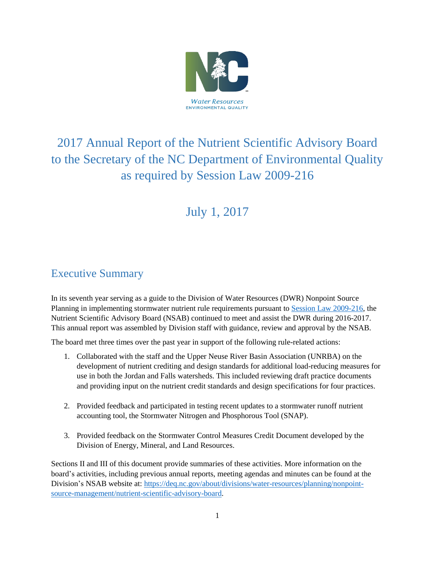

# 2017 Annual Report of the Nutrient Scientific Advisory Board to the Secretary of the NC Department of Environmental Quality as required by Session Law 2009-216

# July 1, 2017

# <span id="page-0-0"></span>Executive Summary

In its seventh year serving as a guide to the Division of Water Resources (DWR) Nonpoint Source Planning in implementing stormwater nutrient rule requirements pursuant to [Session Law 2009-216,](http://www.ncleg.net/sessions/2009/bills/house/pdf/h239v6.pdf) the Nutrient Scientific Advisory Board (NSAB) continued to meet and assist the DWR during 2016-2017. This annual report was assembled by Division staff with guidance, review and approval by the NSAB.

The board met three times over the past year in support of the following rule-related actions:

- 1. Collaborated with the staff and the Upper Neuse River Basin Association (UNRBA) on the development of nutrient crediting and design standards for additional load-reducing measures for use in both the Jordan and Falls watersheds. This included reviewing draft practice documents and providing input on the nutrient credit standards and design specifications for four practices.
- 2. Provided feedback and participated in testing recent updates to a stormwater runoff nutrient accounting tool, the Stormwater Nitrogen and Phosphorous Tool (SNAP).
- 3. Provided feedback on the Stormwater Control Measures Credit Document developed by the Division of Energy, Mineral, and Land Resources.

Sections II and III of this document provide summaries of these activities. More information on the board's activities, including previous annual reports, meeting agendas and minutes can be found at the Division's NSAB website at: [https://deq.nc.gov/about/divisions/water-resources/planning/nonpoint](https://deq.nc.gov/about/divisions/water-resources/planning/nonpoint-source-management/nutrient-scientific-advisory-board)[source-management/nutrient-scientific-advisory-board.](https://deq.nc.gov/about/divisions/water-resources/planning/nonpoint-source-management/nutrient-scientific-advisory-board)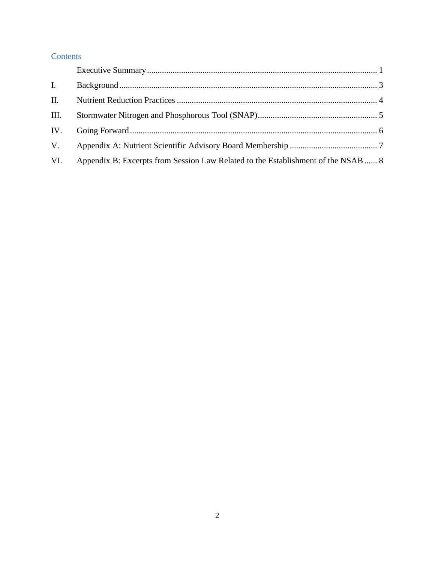### **Contents**

| $\mathbf{I}$ . |                                                                                   |  |
|----------------|-----------------------------------------------------------------------------------|--|
| II.            |                                                                                   |  |
| III.           |                                                                                   |  |
| IV.            |                                                                                   |  |
| V.             |                                                                                   |  |
| VI.            | Appendix B: Excerpts from Session Law Related to the Establishment of the NSAB  8 |  |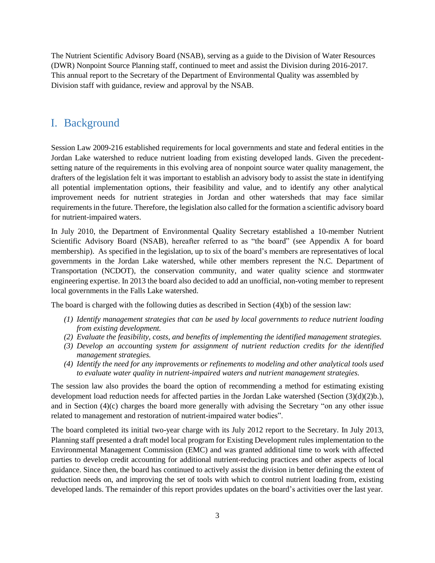<span id="page-2-0"></span>The Nutrient Scientific Advisory Board (NSAB), serving as a guide to the Division of Water Resources (DWR) Nonpoint Source Planning staff, continued to meet and assist the Division during 2016-2017. This annual report to the Secretary of the Department of Environmental Quality was assembled by Division staff with guidance, review and approval by the NSAB.

### I. Background

[Session Law 2009-216](http://www.ncleg.net/sessions/2009/bills/house/pdf/h239v6.pdf) established requirements for local governments and state and federal entities in the Jordan Lake watershed to reduce nutrient loading from existing developed lands. Given the precedentsetting nature of the requirements in this evolving area of nonpoint source water quality management, the drafters of the legislation felt it was important to establish an advisory body to assist the state in identifying all potential implementation options, their feasibility and value, and to identify any other analytical improvement needs for nutrient strategies in Jordan and other watersheds that may face similar requirements in the future. Therefore, the legislation also called for the formation a scientific advisory board for nutrient-impaired waters.

In July 2010, the Department of Environmental Quality Secretary established a 10-member Nutrient Scientific Advisory Board (NSAB), hereafter referred to as "the board" (see Appendix A for board membership). As specified in the legislation, up to six of the board's members are representatives of local governments in the Jordan Lake watershed, while other members represent the N.C. Department of Transportation (NCDOT), the conservation community, and water quality science and stormwater engineering expertise. In 2013 the board also decided to add an unofficial, non-voting member to represent local governments in the Falls Lake watershed.

The board is charged with the following duties as described in Section (4)(b) of the session law:

- *(1) Identify management strategies that can be used by local governments to reduce nutrient loading from existing development.*
- *(2) Evaluate the feasibility, costs, and benefits of implementing the identified management strategies.*
- *(3) Develop an accounting system for assignment of nutrient reduction credits for the identified management strategies.*
- *(4) Identify the need for any improvements or refinements to modeling and other analytical tools used to evaluate water quality in nutrient-impaired waters and nutrient management strategies.*

The session law also provides the board the option of recommending a method for estimating existing development load reduction needs for affected parties in the Jordan Lake watershed (Section (3)(d)(2)b.), and in Section (4)(c) charges the board more generally with advising the Secretary "on any other issue related to management and restoration of nutrient-impaired water bodies".

The board completed its initial two-year charge with its July 2012 report to the Secretary. In July 2013, Planning staff presented a draft model local program for Existing Development rules implementation to the Environmental Management Commission (EMC) and was granted additional time to work with affected parties to develop credit accounting for additional nutrient-reducing practices and other aspects of local guidance. Since then, the board has continued to actively assist the division in better defining the extent of reduction needs on, and improving the set of tools with which to control nutrient loading from, existing developed lands. The remainder of this report provides updates on the board's activities over the last year.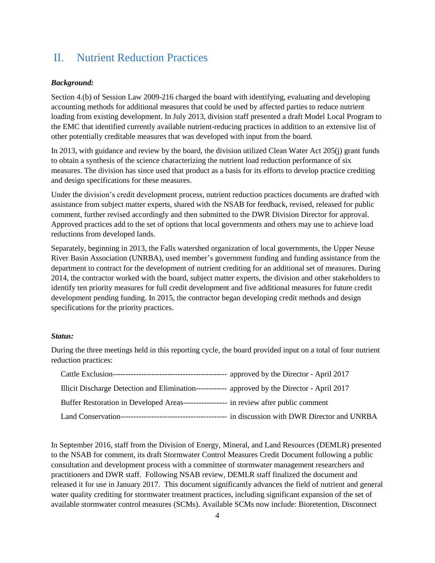# <span id="page-3-0"></span>II. Nutrient Reduction Practices

### *Background:*

Section 4.(b) of Session Law 2009-216 charged the board with identifying, evaluating and developing accounting methods for additional measures that could be used by affected parties to reduce nutrient loading from existing development. In July 2013, division staff presented a draft Model Local Program to the EMC that identified currently available nutrient-reducing practices in addition to an extensive list of other potentially creditable measures that was developed with input from the board.

In 2013, with guidance and review by the board, the division utilized Clean Water Act 205(j) grant funds to obtain a synthesis of the science characterizing the nutrient load reduction performance of six measures. The division has since used that product as a basis for its efforts to develop practice crediting and design specifications for these measures.

Under the division's credit development process, nutrient reduction practices documents are drafted with assistance from subject matter experts, shared with the NSAB for feedback, revised, released for public comment, further revised accordingly and then submitted to the DWR Division Director for approval. Approved practices add to the set of options that local governments and others may use to achieve load reductions from developed lands.

Separately, beginning in 2013, the Falls watershed organization of local governments, the Upper Neuse River Basin Association (UNRBA), used member's government funding and funding assistance from the department to contract for the development of nutrient crediting for an additional set of measures. During 2014, the contractor worked with the board, subject matter experts, the division and other stakeholders to identify ten priority measures for full credit development and five additional measures for future credit development pending funding. In 2015, the contractor began developing credit methods and design specifications for the priority practices.

### *Status:*

During the three meetings held in this reporting cycle, the board provided input on a total of four nutrient reduction practices:

| Illicit Discharge Detection and Elimination------------- approved by the Director - April 2017 |  |
|------------------------------------------------------------------------------------------------|--|
| Buffer Restoration in Developed Areas----------------- in review after public comment          |  |
|                                                                                                |  |

In September 2016, staff from the Division of Energy, Mineral, and Land Resources (DEMLR) presented to the NSAB for comment, its draft Stormwater Control Measures Credit Document following a public consultation and development process with a committee of stormwater management researchers and practitioners and DWR staff. Following NSAB review, DEMLR staff finalized the document and released it for use in January 2017. This document significantly advances the field of nutrient and general water quality crediting for stormwater treatment practices, including significant expansion of the set of available stormwater control measures (SCMs). Available SCMs now include: Bioretention, Disconnect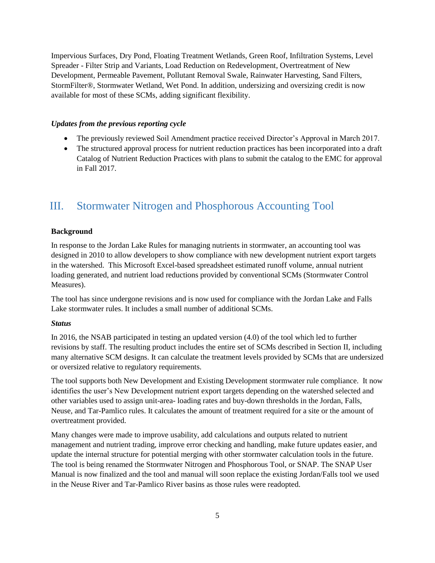Impervious Surfaces, Dry Pond, Floating Treatment Wetlands, Green Roof, Infiltration Systems, Level Spreader - Filter Strip and Variants, Load Reduction on Redevelopment, Overtreatment of New Development, Permeable Pavement, Pollutant Removal Swale, Rainwater Harvesting, Sand Filters, StormFilter®, Stormwater Wetland, Wet Pond. In addition, undersizing and oversizing credit is now available for most of these SCMs, adding significant flexibility.

#### *Updates from the previous reporting cycle*

- The previously reviewed Soil Amendment practice received Director's Approval in March 2017.
- The structured approval process for nutrient reduction practices has been incorporated into a draft Catalog of Nutrient Reduction Practices with plans to submit the catalog to the EMC for approval in Fall 2017.

### <span id="page-4-0"></span>III. Stormwater Nitrogen and Phosphorous Accounting Tool

### **Background**

In response to the Jordan Lake Rules for managing nutrients in stormwater, an accounting tool was designed in 2010 to allow developers to show compliance with new development nutrient export targets in the watershed. This Microsoft Excel-based spreadsheet estimated runoff volume, annual nutrient loading generated, and nutrient load reductions provided by conventional SCMs (Stormwater Control Measures).

The tool has since undergone revisions and is now used for compliance with the Jordan Lake and Falls Lake stormwater rules. It includes a small number of additional SCMs.

#### *Status*

In 2016, the NSAB participated in testing an updated version (4.0) of the tool which led to further revisions by staff. The resulting product includes the entire set of SCMs described in Section II, including many alternative SCM designs. It can calculate the treatment levels provided by SCMs that are undersized or oversized relative to regulatory requirements.

The tool supports both New Development and Existing Development stormwater rule compliance. It now identifies the user's New Development nutrient export targets depending on the watershed selected and other variables used to assign unit-area- loading rates and buy-down thresholds in the Jordan, Falls, Neuse, and Tar-Pamlico rules. It calculates the amount of treatment required for a site or the amount of overtreatment provided.

Many changes were made to improve usability, add calculations and outputs related to nutrient management and nutrient trading, improve error checking and handling, make future updates easier, and update the internal structure for potential merging with other stormwater calculation tools in the future. The tool is being renamed the Stormwater Nitrogen and Phosphorous Tool, or SNAP. The SNAP User Manual is now finalized and the tool and manual will soon replace the existing Jordan/Falls tool we used in the Neuse River and Tar-Pamlico River basins as those rules were readopted.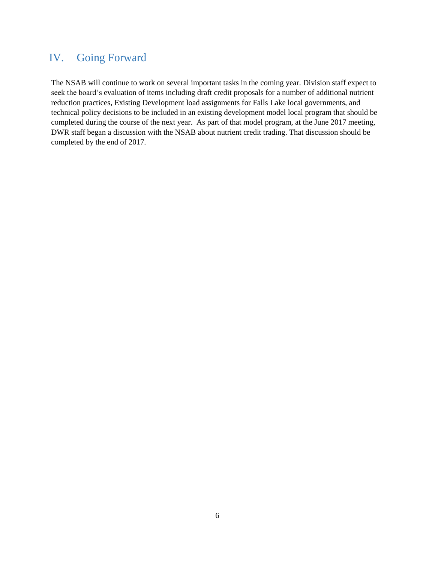### <span id="page-5-0"></span>IV. Going Forward

The NSAB will continue to work on several important tasks in the coming year. Division staff expect to seek the board's evaluation of items including draft credit proposals for a number of additional nutrient reduction practices, Existing Development load assignments for Falls Lake local governments, and technical policy decisions to be included in an existing development model local program that should be completed during the course of the next year. As part of that model program, at the June 2017 meeting, DWR staff began a discussion with the NSAB about nutrient credit trading. That discussion should be completed by the end of 2017.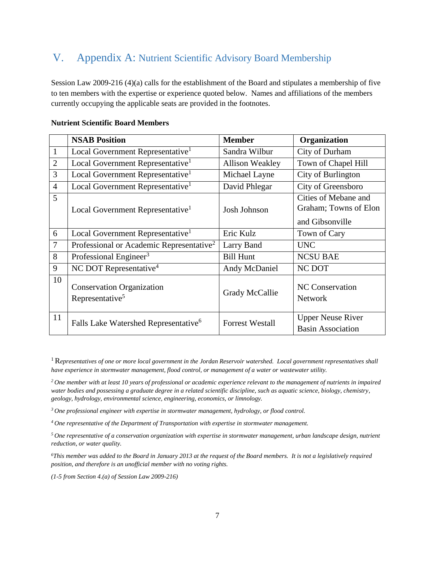# <span id="page-6-0"></span>V. Appendix A: Nutrient Scientific Advisory Board Membership

Session Law 2009-216 (4)(a) calls for the establishment of the Board and stipulates a membership of five to ten members with the expertise or experience quoted below. Names and affiliations of the members currently occupying the applicable seats are provided in the footnotes.

|                | <b>NSAB Position</b>                                            | <b>Member</b>          | Organization                                                     |
|----------------|-----------------------------------------------------------------|------------------------|------------------------------------------------------------------|
| $\mathbf{1}$   | Local Government Representative <sup>1</sup>                    | Sandra Wilbur          | City of Durham                                                   |
| $\overline{2}$ | Local Government Representative <sup>1</sup>                    | <b>Allison Weakley</b> | Town of Chapel Hill                                              |
| 3              | Local Government Representative <sup>1</sup>                    | Michael Layne          | City of Burlington                                               |
| $\overline{4}$ | Local Government Representative <sup>1</sup>                    | David Phlegar          | City of Greensboro                                               |
| 5              | Local Government Representative <sup>1</sup>                    | Josh Johnson           | Cities of Mebane and<br>Graham; Towns of Elon<br>and Gibsonville |
| 6              | Local Government Representative <sup>1</sup>                    | Eric Kulz              | Town of Cary                                                     |
| 7              | Professional or Academic Representative <sup>2</sup>            | Larry Band             | <b>UNC</b>                                                       |
| 8              | Professional Engineer <sup>3</sup>                              | <b>Bill Hunt</b>       | <b>NCSU BAE</b>                                                  |
| 9              | NC DOT Representative <sup>4</sup>                              | Andy McDaniel          | NC DOT                                                           |
| 10             | <b>Conservation Organization</b><br>Representative <sup>5</sup> | Grady McCallie         | <b>NC</b> Conservation<br><b>Network</b>                         |
| 11             | Falls Lake Watershed Representative <sup>6</sup>                | <b>Forrest Westall</b> | <b>Upper Neuse River</b><br><b>Basin Association</b>             |

### **Nutrient Scientific Board Members**

<sup>1</sup>R*epresentatives of one or more local government in the Jordan Reservoir watershed. Local government representatives shall have experience in stormwater management, flood control, or management of a water or wastewater utility.*

*<sup>2</sup>One member with at least 10 years of professional or academic experience relevant to the management of nutrients in impaired water bodies and possessing a graduate degree in a related scientific discipline, such as aquatic science, biology, chemistry, geology, hydrology, environmental science, engineering, economics, or limnology.*

*<sup>3</sup>One professional engineer with expertise in stormwater management, hydrology, or flood control.*

*<sup>4</sup>One representative of the Department of Transportation with expertise in stormwater management.*

*<sup>5</sup>One representative of a conservation organization with expertise in stormwater management, urban landscape design, nutrient reduction, or water quality.*

*<sup>6</sup>This member was added to the Board in January 2013 at the request of the Board members. It is not a legislatively required position, and therefore is an unofficial member with no voting rights.*

*(1-5 from Section 4.(a) of Session Law 2009-216)*